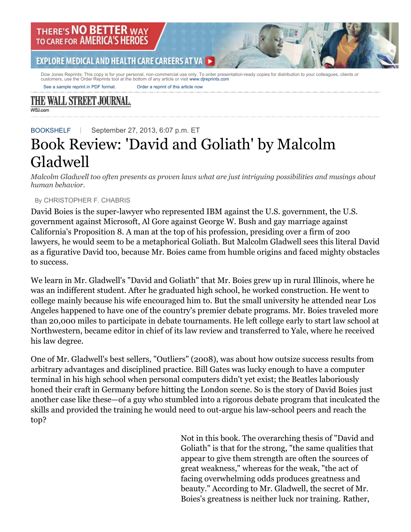## EXPLORE MEDICAL AND HEALTH CARE CAREERS AT VA E►

[See a sample reprint in PDF format.](http://online.wsj.com/public/resources/documents/Reprint_Samples.pdf) [Order a reprint of this article now](javascript:CopyrightPopUp();) Dow Jones Reprints: This copy is for your personal, non-commercial use only. To order presentation-ready copies for distribution to your colleagues, clients or<br>customers, use the Order Reprints tool at the bottom of any ar

THE WALL STREET JOURNAL. **WSJ.com** 

## [BOOKSHELF](http://online.wsj.com/public/search?article-doc-type=%7BBookshelf%7D&HEADER_TEXT=Bookshelf) | September 27, 2013, 6:07 p.m. ET Book Review: 'David and Goliath' by Malcolm Gladwell

*Malcolm Gladwell too often presents as proven laws what are just intriguing possibilities and musings about human behavior.*

## By CHRISTOPHER F. CHABRIS

David Boies is the super-lawyer who represented IBM against the U.S. government, the U.S. government against Microsoft, Al Gore against George W. Bush and gay marriage against California's Proposition 8. A man at the top of his profession, presiding over a firm of 200 lawyers, he would seem to be a metaphorical Goliath. But Malcolm Gladwell sees this literal David as a figurative David too, because Mr. Boies came from humble origins and faced mighty obstacles to success.

We learn in Mr. Gladwell's "David and Goliath" that Mr. Boies grew up in rural Illinois, where he was an indifferent student. After he graduated high school, he worked construction. He went to college mainly because his wife encouraged him to. But the small university he attended near Los Angeles happened to have one of the country's premier debate programs. Mr. Boies traveled more than 20,000 miles to participate in debate tournaments. He left college early to start law school at Northwestern, became editor in chief of its law review and transferred to Yale, where he received his law degree.

One of Mr. Gladwell's best sellers, "Outliers" (2008), was about how outsize success results from arbitrary advantages and disciplined practice. Bill Gates was lucky enough to have a computer terminal in his high school when personal computers didn't yet exist; the Beatles laboriously honed their craft in Germany before hitting the London scene. So is the story of David Boies just another case like these—of a guy who stumbled into a rigorous debate program that inculcated the skills and provided the training he would need to out-argue his law-school peers and reach the top?

> Not in this book. The overarching thesis of "David and Goliath" is that for the strong, "the same qualities that appear to give them strength are often the sources of great weakness," whereas for the weak, "the act of facing overwhelming odds produces greatness and beauty." According to Mr. Gladwell, the secret of Mr. Boies's greatness is neither luck nor training. Rather,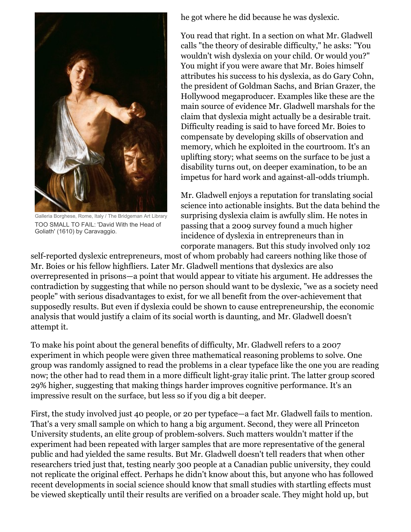

Galleria Borghese, Rome, Italy / The Bridgeman Art Library TOO SMALL TO FAIL: 'David With the Head of Goliath' (1610) by Caravaggio.

he got where he did because he was dyslexic.

You read that right. In a section on what Mr. Gladwell calls "the theory of desirable difficulty," he asks: "You wouldn't wish dyslexia on your child. Or would you?" You might if you were aware that Mr. Boies himself attributes his success to his dyslexia, as do Gary Cohn, the president of Goldman Sachs, and Brian Grazer, the Hollywood megaproducer. Examples like these are the main source of evidence Mr. Gladwell marshals for the claim that dyslexia might actually be a desirable trait. Difficulty reading is said to have forced Mr. Boies to compensate by developing skills of observation and memory, which he exploited in the courtroom. It's an uplifting story; what seems on the surface to be just a disability turns out, on deeper examination, to be an impetus for hard work and against-all-odds triumph.

Mr. Gladwell enjoys a reputation for translating social science into actionable insights. But the data behind the surprising dyslexia claim is awfully slim. He notes in passing that a 2009 survey found a much higher incidence of dyslexia in entrepreneurs than in corporate managers. But this study involved only 102

self-reported dyslexic entrepreneurs, most of whom probably had careers nothing like those of Mr. Boies or his fellow highfliers. Later Mr. Gladwell mentions that dyslexics are also overrepresented in prisons—a point that would appear to vitiate his argument. He addresses the contradiction by suggesting that while no person should want to be dyslexic, "we as a society need people" with serious disadvantages to exist, for we all benefit from the over-achievement that supposedly results. But even if dyslexia could be shown to cause entrepreneurship, the economic analysis that would justify a claim of its social worth is daunting, and Mr. Gladwell doesn't attempt it.

To make his point about the general benefits of difficulty, Mr. Gladwell refers to a 2007 experiment in which people were given three mathematical reasoning problems to solve. One group was randomly assigned to read the problems in a clear typeface like the one you are reading now; the other had to read them in a more difficult light-gray italic print. The latter group scored 29% higher, suggesting that making things harder improves cognitive performance. It's an impressive result on the surface, but less so if you dig a bit deeper.

First, the study involved just 40 people, or 20 per typeface—a fact Mr. Gladwell fails to mention. That's a very small sample on which to hang a big argument. Second, they were all Princeton University students, an elite group of problem-solvers. Such matters wouldn't matter if the experiment had been repeated with larger samples that are more representative of the general public and had yielded the same results. But Mr. Gladwell doesn't tell readers that when other researchers tried just that, testing nearly 300 people at a Canadian public university, they could not replicate the original effect. Perhaps he didn't know about this, but anyone who has followed recent developments in social science should know that small studies with startling effects must be viewed skeptically until their results are verified on a broader scale. They might hold up, but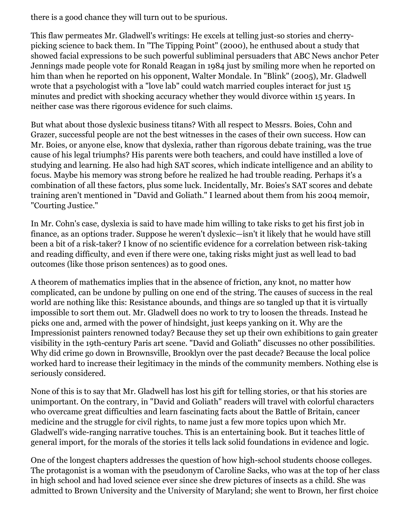there is a good chance they will turn out to be spurious.

This flaw permeates Mr. Gladwell's writings: He excels at telling just-so stories and cherrypicking science to back them. In "The Tipping Point" (2000), he enthused about a study that showed facial expressions to be such powerful subliminal persuaders that ABC News anchor Peter Jennings made people vote for Ronald Reagan in 1984 just by smiling more when he reported on him than when he reported on his opponent, Walter Mondale. In "Blink" (2005), Mr. Gladwell wrote that a psychologist with a "love lab" could watch married couples interact for just 15 minutes and predict with shocking accuracy whether they would divorce within 15 years. In neither case was there rigorous evidence for such claims.

But what about those dyslexic business titans? With all respect to Messrs. Boies, Cohn and Grazer, successful people are not the best witnesses in the cases of their own success. How can Mr. Boies, or anyone else, know that dyslexia, rather than rigorous debate training, was the true cause of his legal triumphs? His parents were both teachers, and could have instilled a love of studying and learning. He also had high SAT scores, which indicate intelligence and an ability to focus. Maybe his memory was strong before he realized he had trouble reading. Perhaps it's a combination of all these factors, plus some luck. Incidentally, Mr. Boies's SAT scores and debate training aren't mentioned in "David and Goliath." I learned about them from his 2004 memoir, "Courting Justice."

In Mr. Cohn's case, dyslexia is said to have made him willing to take risks to get his first job in finance, as an options trader. Suppose he weren't dyslexic—isn't it likely that he would have still been a bit of a risk-taker? I know of no scientific evidence for a correlation between risk-taking and reading difficulty, and even if there were one, taking risks might just as well lead to bad outcomes (like those prison sentences) as to good ones.

A theorem of mathematics implies that in the absence of friction, any knot, no matter how complicated, can be undone by pulling on one end of the string. The causes of success in the real world are nothing like this: Resistance abounds, and things are so tangled up that it is virtually impossible to sort them out. Mr. Gladwell does no work to try to loosen the threads. Instead he picks one and, armed with the power of hindsight, just keeps yanking on it. Why are the Impressionist painters renowned today? Because they set up their own exhibitions to gain greater visibility in the 19th-century Paris art scene. "David and Goliath" discusses no other possibilities. Why did crime go down in Brownsville, Brooklyn over the past decade? Because the local police worked hard to increase their legitimacy in the minds of the community members. Nothing else is seriously considered.

None of this is to say that Mr. Gladwell has lost his gift for telling stories, or that his stories are unimportant. On the contrary, in "David and Goliath" readers will travel with colorful characters who overcame great difficulties and learn fascinating facts about the Battle of Britain, cancer medicine and the struggle for civil rights, to name just a few more topics upon which Mr. Gladwell's wide-ranging narrative touches. This is an entertaining book. But it teaches little of general import, for the morals of the stories it tells lack solid foundations in evidence and logic.

One of the longest chapters addresses the question of how high-school students choose colleges. The protagonist is a woman with the pseudonym of Caroline Sacks, who was at the top of her class in high school and had loved science ever since she drew pictures of insects as a child. She was admitted to Brown University and the University of Maryland; she went to Brown, her first choice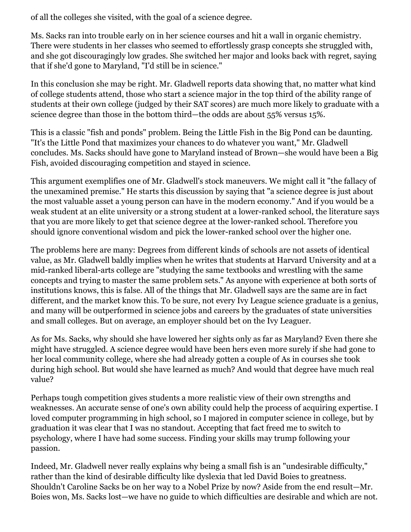of all the colleges she visited, with the goal of a science degree.

Ms. Sacks ran into trouble early on in her science courses and hit a wall in organic chemistry. There were students in her classes who seemed to effortlessly grasp concepts she struggled with, and she got discouragingly low grades. She switched her major and looks back with regret, saying that if she'd gone to Maryland, "I'd still be in science."

In this conclusion she may be right. Mr. Gladwell reports data showing that, no matter what kind of college students attend, those who start a science major in the top third of the ability range of students at their own college (judged by their SAT scores) are much more likely to graduate with a science degree than those in the bottom third—the odds are about 55% versus 15%.

This is a classic "fish and ponds" problem. Being the Little Fish in the Big Pond can be daunting. "It's the Little Pond that maximizes your chances to do whatever you want," Mr. Gladwell concludes. Ms. Sacks should have gone to Maryland instead of Brown—she would have been a Big Fish, avoided discouraging competition and stayed in science.

This argument exemplifies one of Mr. Gladwell's stock maneuvers. We might call it "the fallacy of the unexamined premise." He starts this discussion by saying that "a science degree is just about the most valuable asset a young person can have in the modern economy." And if you would be a weak student at an elite university or a strong student at a lower-ranked school, the literature says that you are more likely to get that science degree at the lower-ranked school. Therefore you should ignore conventional wisdom and pick the lower-ranked school over the higher one.

The problems here are many: Degrees from different kinds of schools are not assets of identical value, as Mr. Gladwell baldly implies when he writes that students at Harvard University and at a mid-ranked liberal-arts college are "studying the same textbooks and wrestling with the same concepts and trying to master the same problem sets." As anyone with experience at both sorts of institutions knows, this is false. All of the things that Mr. Gladwell says are the same are in fact different, and the market know this. To be sure, not every Ivy League science graduate is a genius, and many will be outperformed in science jobs and careers by the graduates of state universities and small colleges. But on average, an employer should bet on the Ivy Leaguer.

As for Ms. Sacks, why should she have lowered her sights only as far as Maryland? Even there she might have struggled. A science degree would have been hers even more surely if she had gone to her local community college, where she had already gotten a couple of As in courses she took during high school. But would she have learned as much? And would that degree have much real value?

Perhaps tough competition gives students a more realistic view of their own strengths and weaknesses. An accurate sense of one's own ability could help the process of acquiring expertise. I loved computer programming in high school, so I majored in computer science in college, but by graduation it was clear that I was no standout. Accepting that fact freed me to switch to psychology, where I have had some success. Finding your skills may trump following your passion.

Indeed, Mr. Gladwell never really explains why being a small fish is an "undesirable difficulty," rather than the kind of desirable difficulty like dyslexia that led David Boies to greatness. Shouldn't Caroline Sacks be on her way to a Nobel Prize by now? Aside from the end result—Mr. Boies won, Ms. Sacks lost—we have no guide to which difficulties are desirable and which are not.